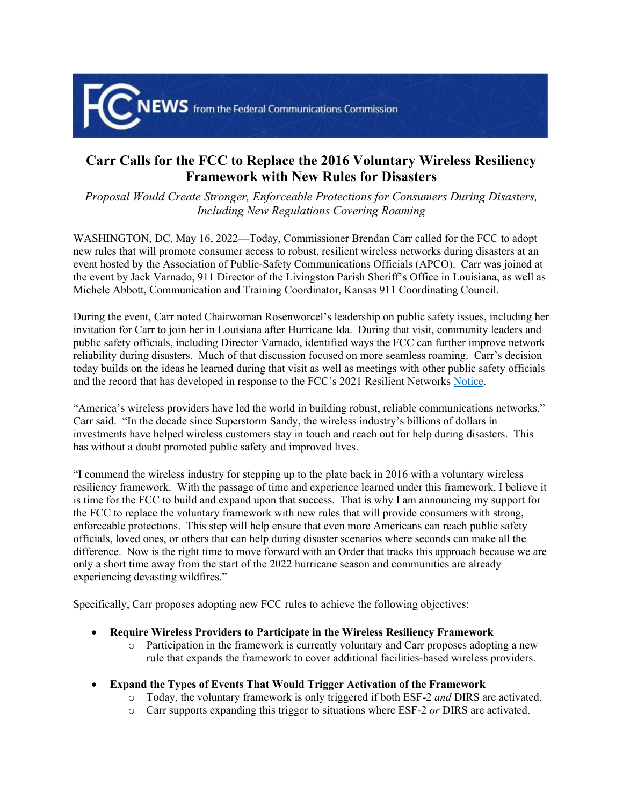

## **Carr Calls for the FCC to Replace the 2016 Voluntary Wireless Resiliency Framework with New Rules for Disasters**

*Proposal Would Create Stronger, Enforceable Protections for Consumers During Disasters, Including New Regulations Covering Roaming*

WASHINGTON, DC, May 16, 2022—Today, Commissioner Brendan Carr called for the FCC to adopt new rules that will promote consumer access to robust, resilient wireless networks during disasters at an event hosted by the Association of Public-Safety Communications Officials (APCO). Carr was joined at the event by Jack Varnado, 911 Director of the Livingston Parish Sheriff's Office in Louisiana, as well as Michele Abbott, Communication and Training Coordinator, Kansas 911 Coordinating Council.

During the event, Carr noted Chairwoman Rosenworcel's leadership on public safety issues, including her invitation for Carr to join her in Louisiana after Hurricane Ida. During that visit, community leaders and public safety officials, including Director Varnado, identified ways the FCC can further improve network reliability during disasters. Much of that discussion focused on more seamless roaming. Carr's decision today builds on the ideas he learned during that visit as well as meetings with other public safety officials and the record that has developed in response to the FCC's 2021 Resilient Networks [Notice](https://docs.fcc.gov/public/attachments/FCC-21-99A1.pdf).

"America's wireless providers have led the world in building robust, reliable communications networks," Carr said. "In the decade since Superstorm Sandy, the wireless industry's billions of dollars in investments have helped wireless customers stay in touch and reach out for help during disasters. This has without a doubt promoted public safety and improved lives.

"I commend the wireless industry for stepping up to the plate back in 2016 with a voluntary wireless resiliency framework. With the passage of time and experience learned under this framework, I believe it is time for the FCC to build and expand upon that success. That is why I am announcing my support for the FCC to replace the voluntary framework with new rules that will provide consumers with strong, enforceable protections. This step will help ensure that even more Americans can reach public safety officials, loved ones, or others that can help during disaster scenarios where seconds can make all the difference. Now is the right time to move forward with an Order that tracks this approach because we are only a short time away from the start of the 2022 hurricane season and communities are already experiencing devasting wildfires."

Specifically, Carr proposes adopting new FCC rules to achieve the following objectives:

- **Require Wireless Providers to Participate in the Wireless Resiliency Framework** 
	- o Participation in the framework is currently voluntary and Carr proposes adopting a new rule that expands the framework to cover additional facilities-based wireless providers.
- **Expand the Types of Events That Would Trigger Activation of the Framework**
	- o Today, the voluntary framework is only triggered if both ESF-2 *and* DIRS are activated.
	- o Carr supports expanding this trigger to situations where ESF-2 *or* DIRS are activated.